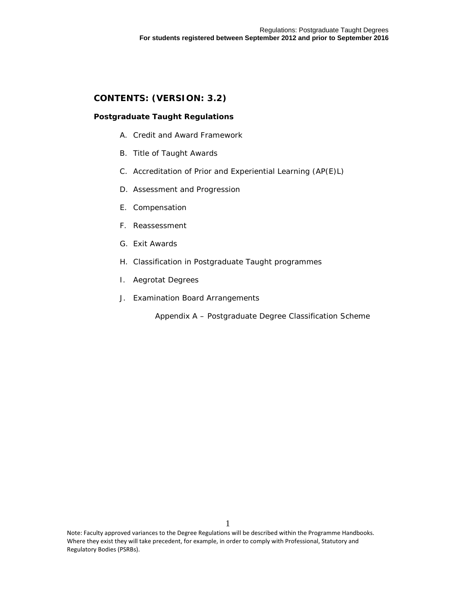## **CONTENTS: (VERSION: 3.2)**

#### **Postgraduate Taught Regulations**

- A. Credit and Award Framework
- B. Title of Taught Awards
- C. Accreditation of Prior and Experiential Learning (AP(E)L)
- D. Assessment and Progression
- E. Compensation
- F. Reassessment
- G. Exit Awards
- H. Classification in Postgraduate Taught programmes
- I. Aegrotat Degrees
- J. Examination Board Arrangements

Appendix A – Postgraduate Degree Classification Scheme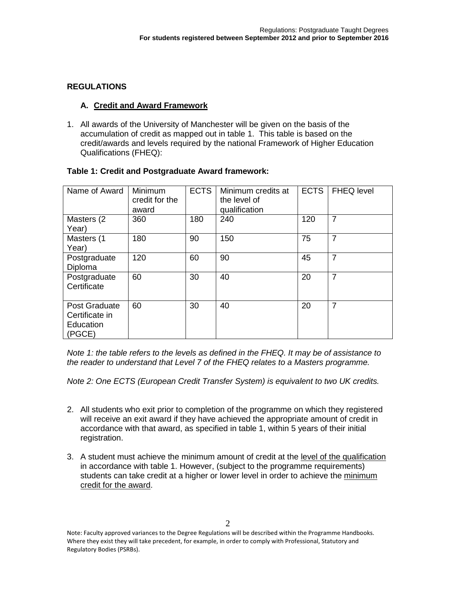### **REGULATIONS**

#### **A. Credit and Award Framework**

1. All awards of the University of Manchester will be given on the basis of the accumulation of credit as mapped out in table 1. This table is based on the credit/awards and levels required by the national Framework of Higher Education Qualifications (FHEQ):

| Table 1: Credit and Postgraduate Award framework: |
|---------------------------------------------------|
|---------------------------------------------------|

| Name of Award                                          | Minimum<br>credit for the<br>award | <b>ECTS</b> | Minimum credits at<br>the level of<br>qualification | <b>ECTS</b> | <b>FHEQ level</b> |
|--------------------------------------------------------|------------------------------------|-------------|-----------------------------------------------------|-------------|-------------------|
| Masters (2<br>Year)                                    | 360                                | 180         | 240                                                 | 120         | $\overline{7}$    |
| Masters (1<br>Year)                                    | 180                                | 90          | 150                                                 | 75          | $\overline{7}$    |
| Postgraduate<br>Diploma                                | 120                                | 60          | 90                                                  | 45          | $\overline{7}$    |
| Postgraduate<br>Certificate                            | 60                                 | 30          | 40                                                  | 20          | $\overline{7}$    |
| Post Graduate<br>Certificate in<br>Education<br>(PGCE) | 60                                 | 30          | 40                                                  | 20          | $\overline{7}$    |

*Note 1: the table refers to the levels as defined in the FHEQ. It may be of assistance to the reader to understand that Level 7 of the FHEQ relates to a Masters programme.*

*Note 2: One ECTS (European Credit Transfer System) is equivalent to two UK credits.*

- 2. All students who exit prior to completion of the programme on which they registered will receive an exit award if they have achieved the appropriate amount of credit in accordance with that award, as specified in table 1, within 5 years of their initial registration.
- 3. A student must achieve the minimum amount of credit at the level of the qualification in accordance with table 1. However, (subject to the programme requirements) students can take credit at a higher or lower level in order to achieve the minimum credit for the award.

 $\mathcal{D}_{\mathcal{L}}$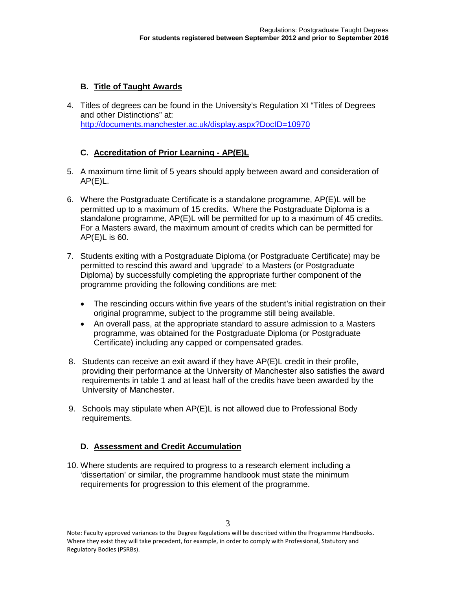## **B. Title of Taught Awards**

4. Titles of degrees can be found in the University's Regulation XI "Titles of Degrees and other Distinctions" at: <http://documents.manchester.ac.uk/display.aspx?DocID=10970>

## **C. Accreditation of Prior Learning - AP(E)L**

- 5. A maximum time limit of 5 years should apply between award and consideration of  $AP(E)L$ .
- 6. Where the Postgraduate Certificate is a standalone programme, AP(E)L will be permitted up to a maximum of 15 credits. Where the Postgraduate Diploma is a standalone programme, AP(E)L will be permitted for up to a maximum of 45 credits. For a Masters award, the maximum amount of credits which can be permitted for AP(E)L is 60.
- 7. Students exiting with a Postgraduate Diploma (or Postgraduate Certificate) may be permitted to rescind this award and 'upgrade' to a Masters (or Postgraduate Diploma) by successfully completing the appropriate further component of the programme providing the following conditions are met:
	- The rescinding occurs within five years of the student's initial registration on their original programme, subject to the programme still being available.
	- An overall pass, at the appropriate standard to assure admission to a Masters programme, was obtained for the Postgraduate Diploma (or Postgraduate Certificate) including any capped or compensated grades.
- 8. Students can receive an exit award if they have AP(E)L credit in their profile, providing their performance at the University of Manchester also satisfies the award requirements in table 1 and at least half of the credits have been awarded by the University of Manchester.
- 9. Schools may stipulate when AP(E)L is not allowed due to Professional Body requirements.

## **D. Assessment and Credit Accumulation**

10. Where students are required to progress to a research element including a 'dissertation' or similar, the programme handbook must state the minimum requirements for progression to this element of the programme.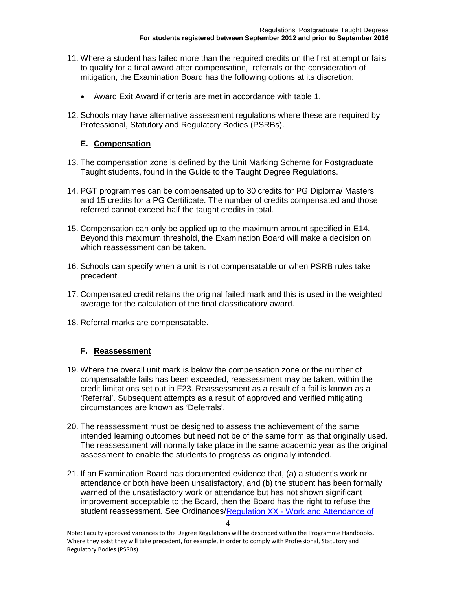- 11. Where a student has failed more than the required credits on the first attempt or fails to qualify for a final award after compensation, referrals or the consideration of mitigation, the Examination Board has the following options at its discretion:
	- Award Exit Award if criteria are met in accordance with table 1.
- 12. Schools may have alternative assessment regulations where these are required by Professional, Statutory and Regulatory Bodies (PSRBs).

### **E. Compensation**

- 13. The compensation zone is defined by the Unit Marking Scheme for Postgraduate Taught students, found in the Guide to the Taught Degree Regulations.
- 14. PGT programmes can be compensated up to 30 credits for PG Diploma/ Masters and 15 credits for a PG Certificate. The number of credits compensated and those referred cannot exceed half the taught credits in total.
- 15. Compensation can only be applied up to the maximum amount specified in E14. Beyond this maximum threshold, the Examination Board will make a decision on which reassessment can be taken.
- 16. Schools can specify when a unit is not compensatable or when PSRB rules take precedent.
- 17. Compensated credit retains the original failed mark and this is used in the weighted average for the calculation of the final classification/ award.
- 18. Referral marks are compensatable.

#### **F. Reassessment**

- 19. Where the overall unit mark is below the compensation zone or the number of compensatable fails has been exceeded, reassessment may be taken, within the credit limitations set out in F23. Reassessment as a result of a fail is known as a 'Referral'. Subsequent attempts as a result of approved and verified mitigating circumstances are known as 'Deferrals'.
- 20. The reassessment must be designed to assess the achievement of the same intended learning outcomes but need not be of the same form as that originally used. The reassessment will normally take place in the same academic year as the original assessment to enable the students to progress as originally intended.
- 21. If an Examination Board has documented evidence that, (a) a student's work or attendance or both have been unsatisfactory, and (b) the student has been formally warned of the unsatisfactory work or attendance but has not shown significant improvement acceptable to the Board, then the Board has the right to refuse the student reassessment. See Ordinances/Regulation XX - [Work and Attendance of](http://documents.manchester.ac.uk/display.aspx?DocID=1895)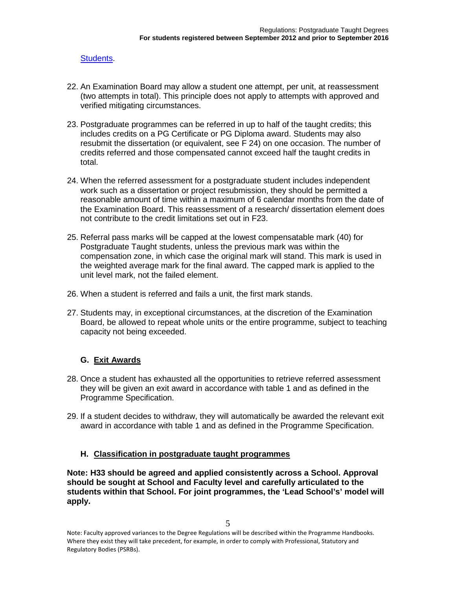#### [Students.](http://documents.manchester.ac.uk/display.aspx?DocID=1895)

- 22. An Examination Board may allow a student one attempt, per unit, at reassessment (two attempts in total). This principle does not apply to attempts with approved and verified mitigating circumstances.
- 23. Postgraduate programmes can be referred in up to half of the taught credits; this includes credits on a PG Certificate or PG Diploma award. Students may also resubmit the dissertation (or equivalent, see F 24) on one occasion. The number of credits referred and those compensated cannot exceed half the taught credits in total.
- 24. When the referred assessment for a postgraduate student includes independent work such as a dissertation or project resubmission, they should be permitted a reasonable amount of time within a maximum of 6 calendar months from the date of the Examination Board. This reassessment of a research/ dissertation element does not contribute to the credit limitations set out in F23.
- 25. Referral pass marks will be capped at the lowest compensatable mark (40) for Postgraduate Taught students, unless the previous mark was within the compensation zone, in which case the original mark will stand. This mark is used in the weighted average mark for the final award. The capped mark is applied to the unit level mark, not the failed element.
- 26. When a student is referred and fails a unit, the first mark stands.
- 27. Students may, in exceptional circumstances, at the discretion of the Examination Board, be allowed to repeat whole units or the entire programme, subject to teaching capacity not being exceeded.

## **G. Exit Awards**

- 28. Once a student has exhausted all the opportunities to retrieve referred assessment they will be given an exit award in accordance with table 1 and as defined in the Programme Specification.
- 29. If a student decides to withdraw, they will automatically be awarded the relevant exit award in accordance with table 1 and as defined in the Programme Specification.

## **H. Classification in postgraduate taught programmes**

**Note: H33 should be agreed and applied consistently across a School. Approval should be sought at School and Faculty level and carefully articulated to the students within that School. For joint programmes, the 'Lead School's' model will apply.**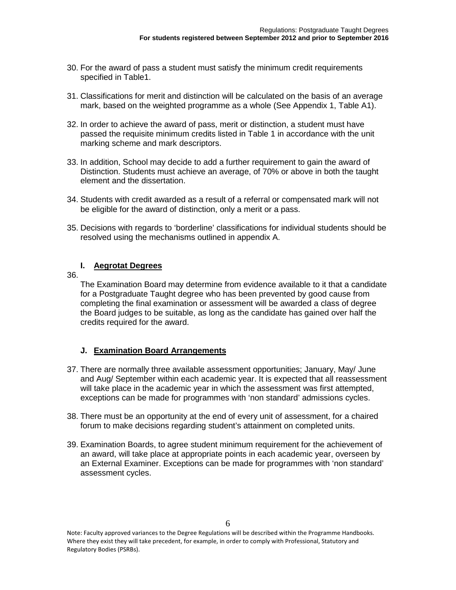- 30. For the award of pass a student must satisfy the minimum credit requirements specified in Table1.
- 31. Classifications for merit and distinction will be calculated on the basis of an average mark, based on the weighted programme as a whole (See Appendix 1, Table A1).
- 32. In order to achieve the award of pass, merit or distinction, a student must have passed the requisite minimum credits listed in Table 1 in accordance with the unit marking scheme and mark descriptors.
- 33. In addition, School may decide to add a further requirement to gain the award of Distinction. Students must achieve an average, of 70% or above in both the taught element and the dissertation.
- 34. Students with credit awarded as a result of a referral or compensated mark will not be eligible for the award of distinction, only a merit or a pass.
- 35. Decisions with regards to 'borderline' classifications for individual students should be resolved using the mechanisms outlined in appendix A.

## **I. Aegrotat Degrees**

36.

The Examination Board may determine from evidence available to it that a candidate for a Postgraduate Taught degree who has been prevented by good cause from completing the final examination or assessment will be awarded a class of degree the Board judges to be suitable, as long as the candidate has gained over half the credits required for the award.

## **J. Examination Board Arrangements**

- 37. There are normally three available assessment opportunities; January, May/ June and Aug/ September within each academic year. It is expected that all reassessment will take place in the academic year in which the assessment was first attempted, exceptions can be made for programmes with 'non standard' admissions cycles.
- 38. There must be an opportunity at the end of every unit of assessment, for a chaired forum to make decisions regarding student's attainment on completed units.
- 39. Examination Boards, to agree student minimum requirement for the achievement of an award, will take place at appropriate points in each academic year, overseen by an External Examiner. Exceptions can be made for programmes with 'non standard' assessment cycles.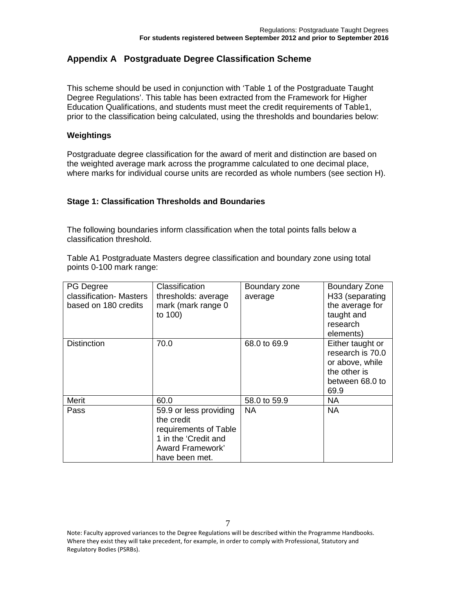# **Appendix A Postgraduate Degree Classification Scheme**

This scheme should be used in conjunction with 'Table 1 of the Postgraduate Taught Degree Regulations'. This table has been extracted from the Framework for Higher Education Qualifications, and students must meet the credit requirements of Table1, prior to the classification being calculated, using the thresholds and boundaries below:

#### **Weightings**

Postgraduate degree classification for the award of merit and distinction are based on the weighted average mark across the programme calculated to one decimal place, where marks for individual course units are recorded as whole numbers (see section H).

#### **Stage 1: Classification Thresholds and Boundaries**

The following boundaries inform classification when the total points falls below a classification threshold.

Table A1 Postgraduate Masters degree classification and boundary zone using total points 0-100 mark range:

| <b>PG Degree</b><br>classification- Masters<br>based on 180 credits | Classification<br>thresholds: average<br>mark (mark range 0<br>to 100)                                                      | Boundary zone<br>average | Boundary Zone<br>H33 (separating<br>the average for<br>taught and<br>research<br>elements)         |
|---------------------------------------------------------------------|-----------------------------------------------------------------------------------------------------------------------------|--------------------------|----------------------------------------------------------------------------------------------------|
| <b>Distinction</b>                                                  | 70.0                                                                                                                        | 68.0 to 69.9             | Either taught or<br>research is 70.0<br>or above, while<br>the other is<br>between 68.0 to<br>69.9 |
| Merit                                                               | 60.0                                                                                                                        | 58.0 to 59.9             | <b>NA</b>                                                                                          |
| Pass                                                                | 59.9 or less providing<br>the credit<br>requirements of Table<br>1 in the 'Credit and<br>Award Framework'<br>have been met. | <b>NA</b>                | <b>NA</b>                                                                                          |

Note: Faculty approved variances to the Degree Regulations will be described within the Programme Handbooks. Where they exist they will take precedent, for example, in order to comply with Professional, Statutory and Regulatory Bodies (PSRBs).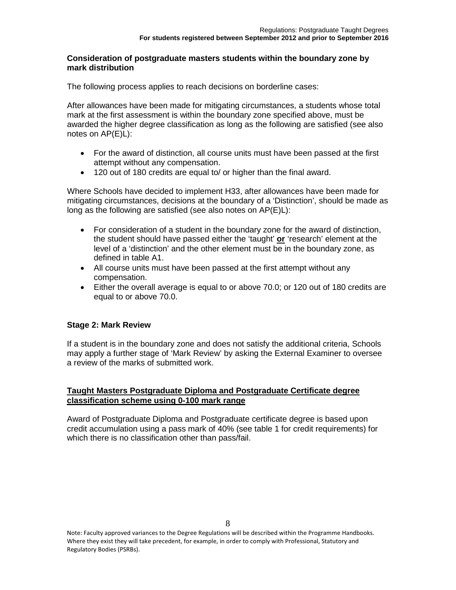#### **Consideration of postgraduate masters students within the boundary zone by mark distribution**

The following process applies to reach decisions on borderline cases:

After allowances have been made for mitigating circumstances, a students whose total mark at the first assessment is within the boundary zone specified above, must be awarded the higher degree classification as long as the following are satisfied (see also notes on AP(E)L):

- For the award of distinction, all course units must have been passed at the first attempt without any compensation.
- 120 out of 180 credits are equal to/ or higher than the final award.

Where Schools have decided to implement H33, after allowances have been made for mitigating circumstances, decisions at the boundary of a 'Distinction', should be made as long as the following are satisfied (see also notes on AP(E)L):

- For consideration of a student in the boundary zone for the award of distinction, the student should have passed either the 'taught' **or** 'research' element at the level of a 'distinction' and the other element must be in the boundary zone, as defined in table A1.
- All course units must have been passed at the first attempt without any compensation.
- Either the overall average is equal to or above 70.0; or 120 out of 180 credits are equal to or above 70.0.

#### **Stage 2: Mark Review**

If a student is in the boundary zone and does not satisfy the additional criteria, Schools may apply a further stage of 'Mark Review' by asking the External Examiner to oversee a review of the marks of submitted work.

#### **Taught Masters Postgraduate Diploma and Postgraduate Certificate degree classification scheme using 0-100 mark range**

Award of Postgraduate Diploma and Postgraduate certificate degree is based upon credit accumulation using a pass mark of 40% (see table 1 for credit requirements) for which there is no classification other than pass/fail.